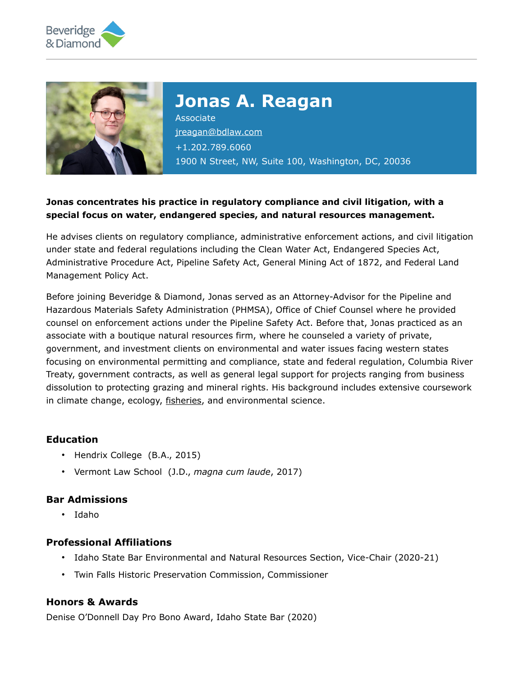



# **Jonas A. Reagan**

Associate [jreagan@bdlaw.com](mailto:jreagan@bdlaw.com) +1.202.789.6060 1900 N Street, NW, Suite 100, Washington, DC, 20036

## **Jonas concentrates his practice in regulatory compliance and civil litigation, with a special focus on water, endangered species, and natural resources management.**

He advises clients on regulatory compliance, administrative enforcement actions, and civil litigation under state and federal regulations including the Clean Water Act, Endangered Species Act, Administrative Procedure Act, Pipeline Safety Act, General Mining Act of 1872, and Federal Land Management Policy Act.

Before joining Beveridge & Diamond, Jonas served as an Attorney-Advisor for the Pipeline and Hazardous Materials Safety Administration (PHMSA), Office of Chief Counsel where he provided counsel on enforcement actions under the Pipeline Safety Act. Before that, Jonas practiced as an associate with a boutique natural resources firm, where he counseled a variety of private, government, and investment clients on environmental and water issues facing western states focusing on environmental permitting and compliance, state and federal regulation, Columbia River Treaty, government contracts, as well as general legal support for projects ranging from business dissolution to protecting grazing and mineral rights. His background includes extensive coursework in climate change, ecology, [fisheries,](https://www.bdlaw.com/fisheries-aquaculture/) and environmental science.

## **Education**

- Hendrix College (B.A., 2015)
- Vermont Law School (J.D., *magna cum laude*, 2017)

#### **Bar Admissions**

• Idaho

#### **Professional Affiliations**

- Idaho State Bar Environmental and Natural Resources Section, Vice-Chair (2020-21)
- Twin Falls Historic Preservation Commission, Commissioner

### **Honors & Awards**

Denise O'Donnell Day Pro Bono Award, Idaho State Bar (2020)